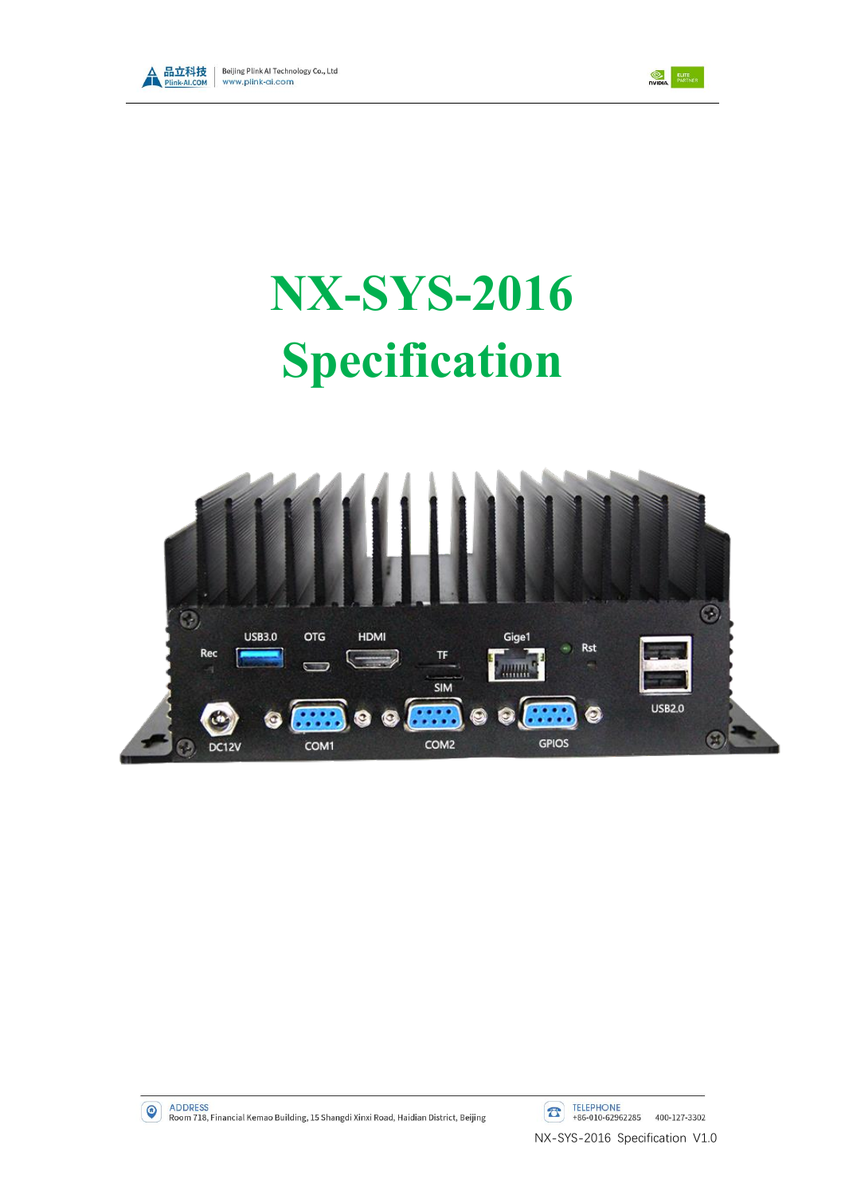



# **NX-SYS-2016 Specification**



 $\bullet$ 

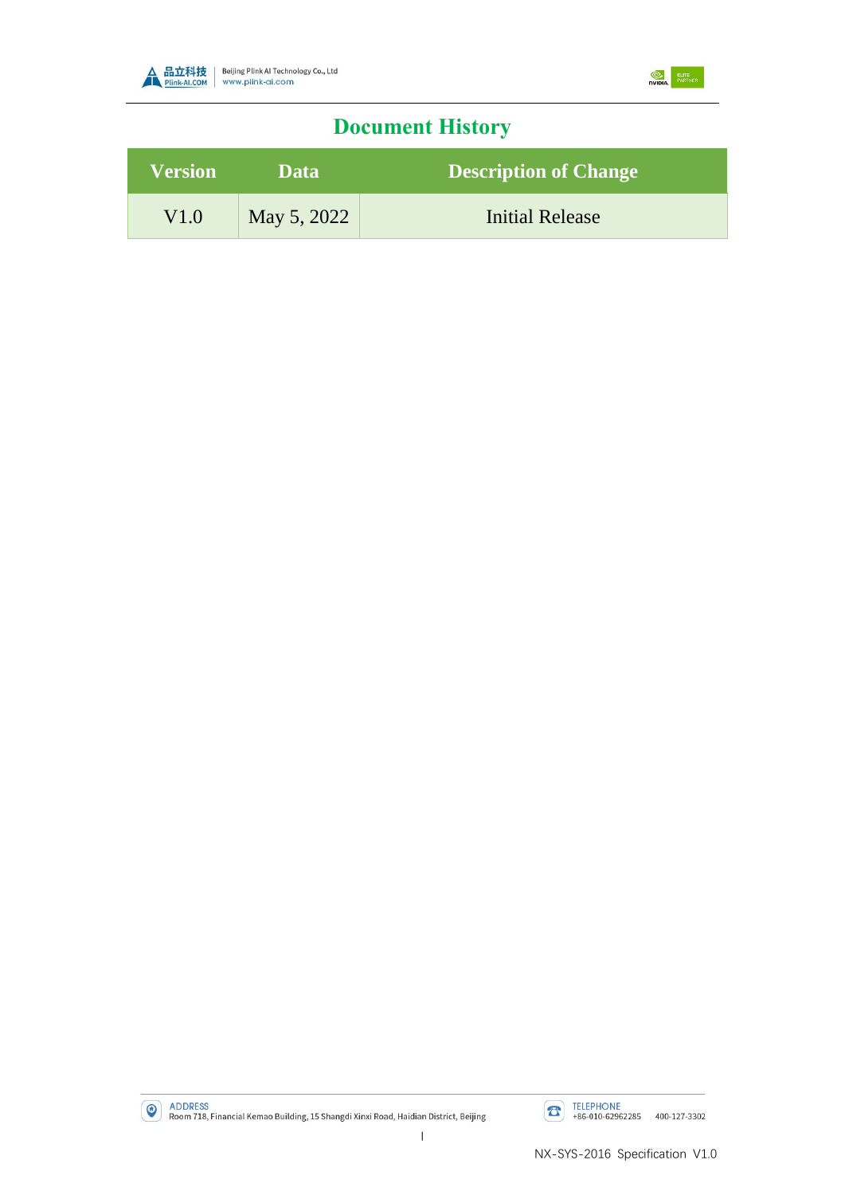



## **Document History**

| <b>Version</b> | Data        | <b>Description of Change</b> |  |
|----------------|-------------|------------------------------|--|
| V1.0           | May 5, 2022 | <b>Initial Release</b>       |  |

ADDRESS<br>Room 718, Financial Kemao Building, 15 Shangdi Xinxi Road, Haidian District, Beijing

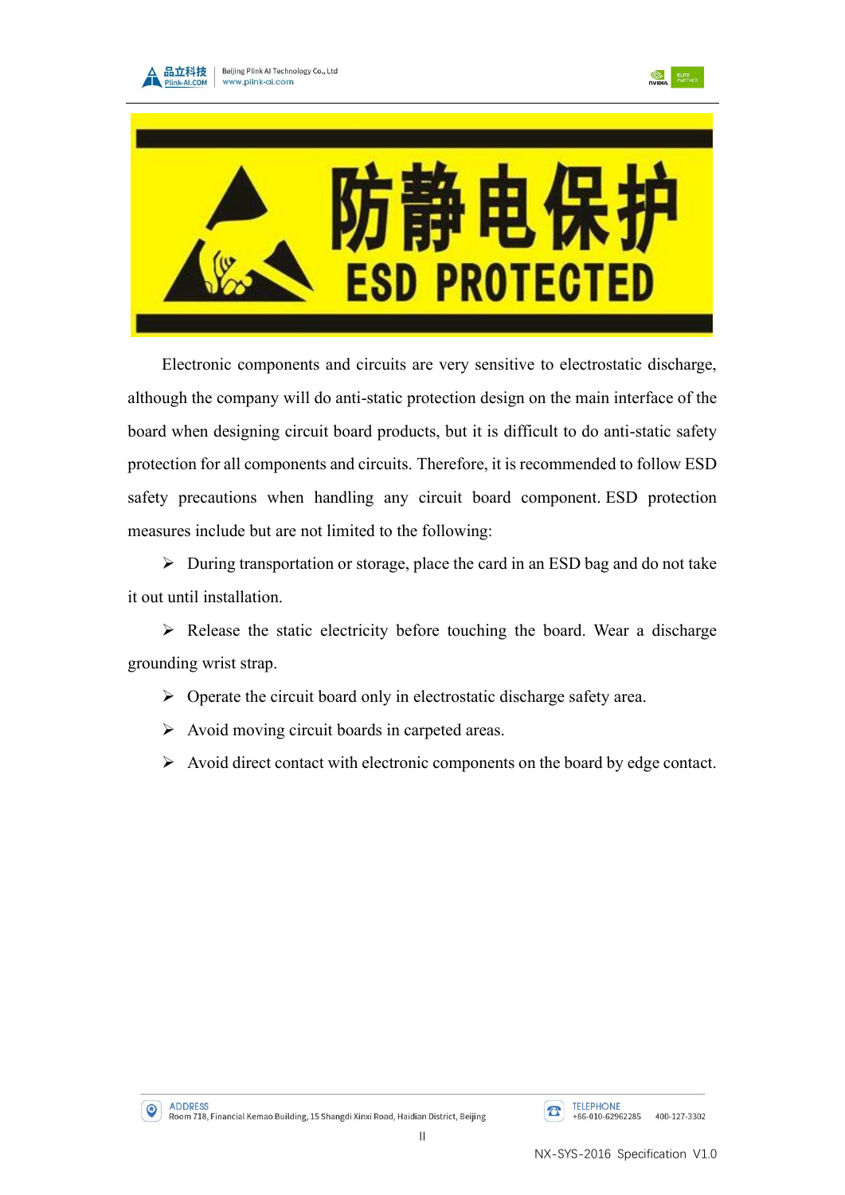





Electronic components and circuits are very sensitive to electrostatic discharge, although the company will do anti-static protection design on the main interface of the board when designing circuit board products, but it is difficult to do anti-static safety protection for all components and circuits. Therefore, it is recommended to follow ESD safety precautions when handling any circuit board component. ESD protection measures include but are not limited to the following:

➢ During transportation or storage, place the card in an ESD bag and do not take it out until installation.

➢ Release the static electricity before touching the board. Wear a discharge grounding wrist strap.

- ➢ Operate the circuit board only in electrostatic discharge safety area.
- ➢ Avoid moving circuit boards in carpeted areas.
- ➢ Avoid direct contact with electronic components on the board by edge contact.

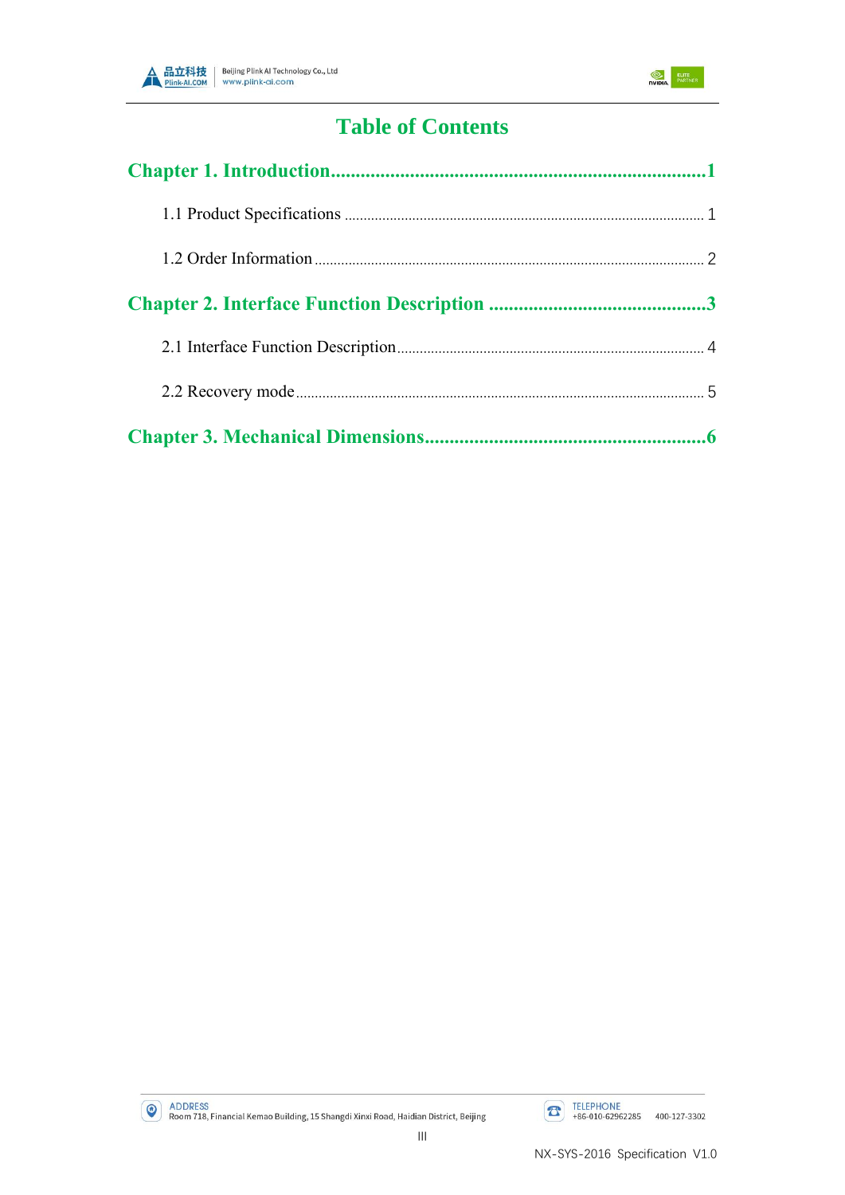



## **Table of Contents**

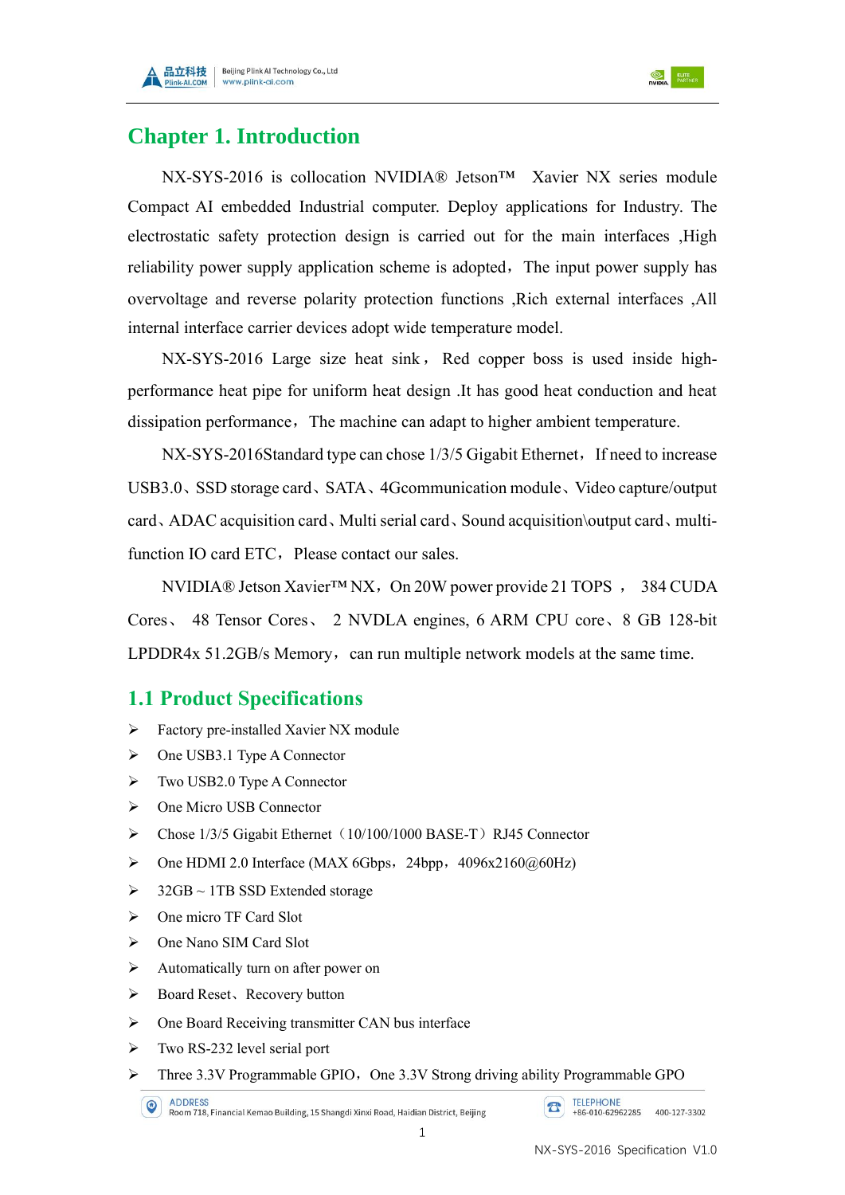



### <span id="page-4-0"></span>**Chapter 1. Introduction**

NX-SYS-2016 is collocation NVIDIA® Jetson™ Xavier NX series module Compact AI embedded Industrial computer. Deploy applications for Industry. The electrostatic safety protection design is carried out for the main interfaces ,High reliability power supply application scheme is adopted, The input power supply has overvoltage and reverse polarity protection functions ,Rich external interfaces ,All internal interface carrier devices adopt wide temperature model.

NX-SYS-2016 Large size heat sink, Red copper boss is used inside highperformance heat pipe for uniform heat design .It has good heat conduction and heat dissipation performance, The machine can adapt to higher ambient temperature.

 $NX-SYS-2016$ Standard type can chose  $1/3/5$  Gigabit Ethernet, If need to increase USB3.0、SSD storage card、SATA、4Gcommunication module、Video capture/output card、ADAC acquisition card、Multi serial card、Sound acquisition\output card、multifunction IO card ETC. Please contact our sales.

NVIDIA® Jetson Xavier™ NX, On 20W power provide 21 TOPS, 384 CUDA Cores、 48 Tensor Cores、 2 NVDLA engines, 6 ARM CPU core、8 GB 128-bit LPDDR4x 51.2GB/s Memory, can run multiple network models at the same time.

#### <span id="page-4-1"></span>**1.1 Product Specifications**

- ➢ Factory pre-installed Xavier NX module
- ➢ One USB3.1 Type A Connector
- ➢ Two USB2.0 Type A Connector
- ➢ One Micro USB Connector
- $\triangleright$  Chose 1/3/5 Gigabit Ethernet (10/100/1000 BASE-T) RJ45 Connector
- $\triangleright$  One HDMI 2.0 Interface (MAX 6Gbps, 24bpp, 4096x2160@60Hz)
- $>$  32GB ~ 1TB SSD Extended storage
- ➢ One micro TF Card Slot
- ➢ One Nano SIM Card Slot
- ➢ Automatically turn on after power on
- ➢ Board Reset、Recovery button
- ➢ One Board Receiving transmitter CAN bus interface
- ➢ Two RS-232 level serial port
- $\triangleright$  Three 3.3V Programmable GPIO, One 3.3V Strong driving ability Programmable GPO

**TELEPHONE**  $\boxed{\mathbf{B}}$ +86-010-62962285 400-127-3302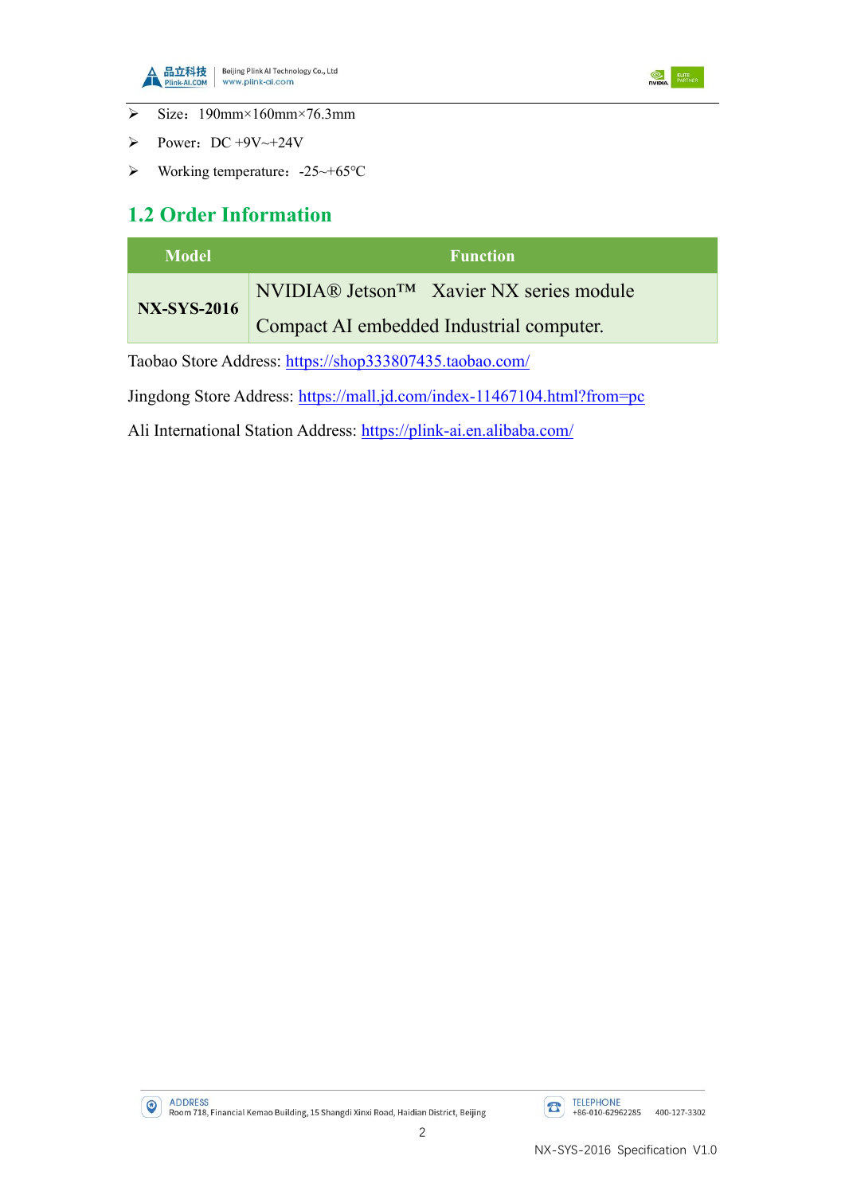



- $\triangleright$  Size: 190mm×160mm×76.3mm
- $\triangleright$  Power: DC +9V~+24V
- ➢ Working temperature:-25~+65℃

#### <span id="page-5-0"></span>**1.2 Order Information**

| <b>Model</b>       | <b>Function</b>                                      |  |  |  |  |
|--------------------|------------------------------------------------------|--|--|--|--|
| <b>NX-SYS-2016</b> | NVIDIA® Jetson <sup>TM</sup> Xavier NX series module |  |  |  |  |
|                    | Compact AI embedded Industrial computer.             |  |  |  |  |

Taobao Store Address: <https://shop333807435.taobao.com/>

Jingdong Store Address: <https://mall.jd.com/index-11467104.html?from=pc>

Ali International Station Address: <https://plink-ai.en.alibaba.com/>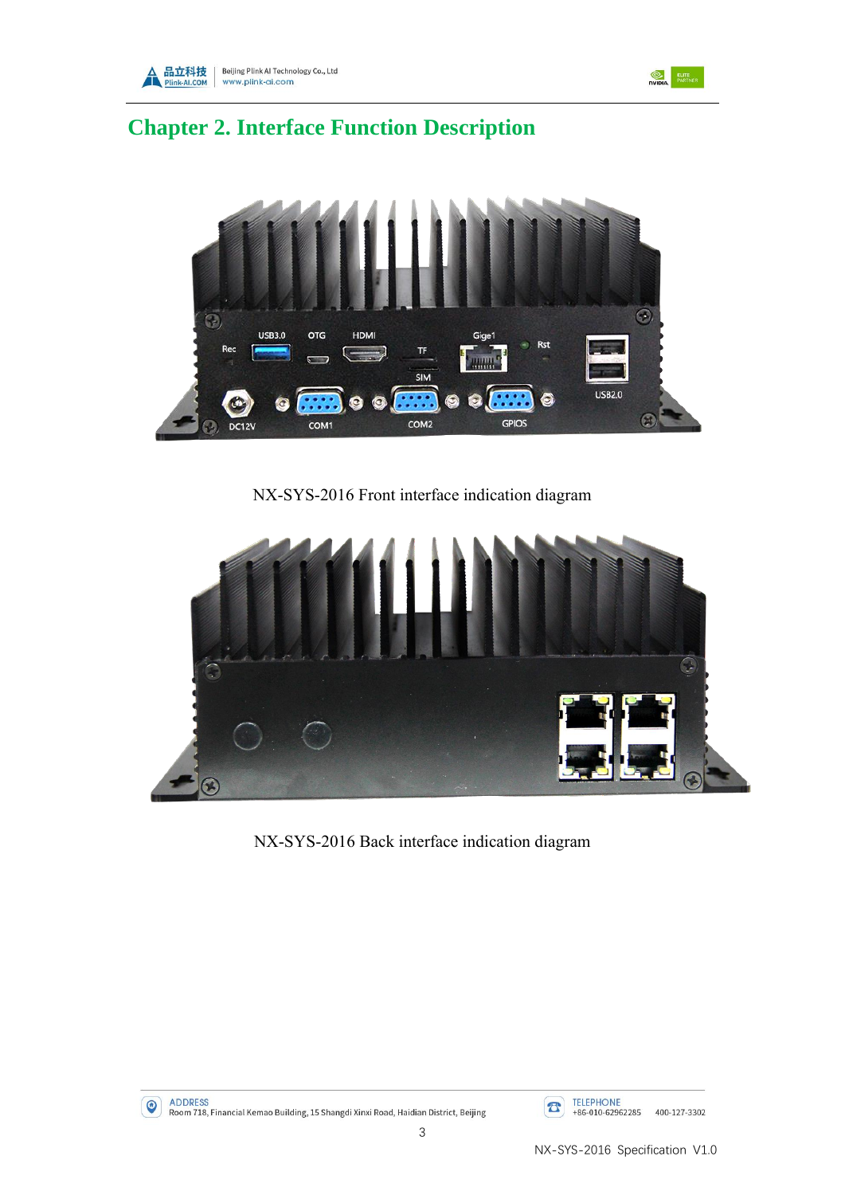



## <span id="page-6-0"></span>**Chapter 2. Interface Function Description**



NX-SYS-2016 Front interface indication diagram



NX-SYS-2016 Back interface indication diagram

**1988** ADDRESS<br>Room 718, Financial Kemao Building, 15 Shangdi Xinxi Road, Haidian District, Beijing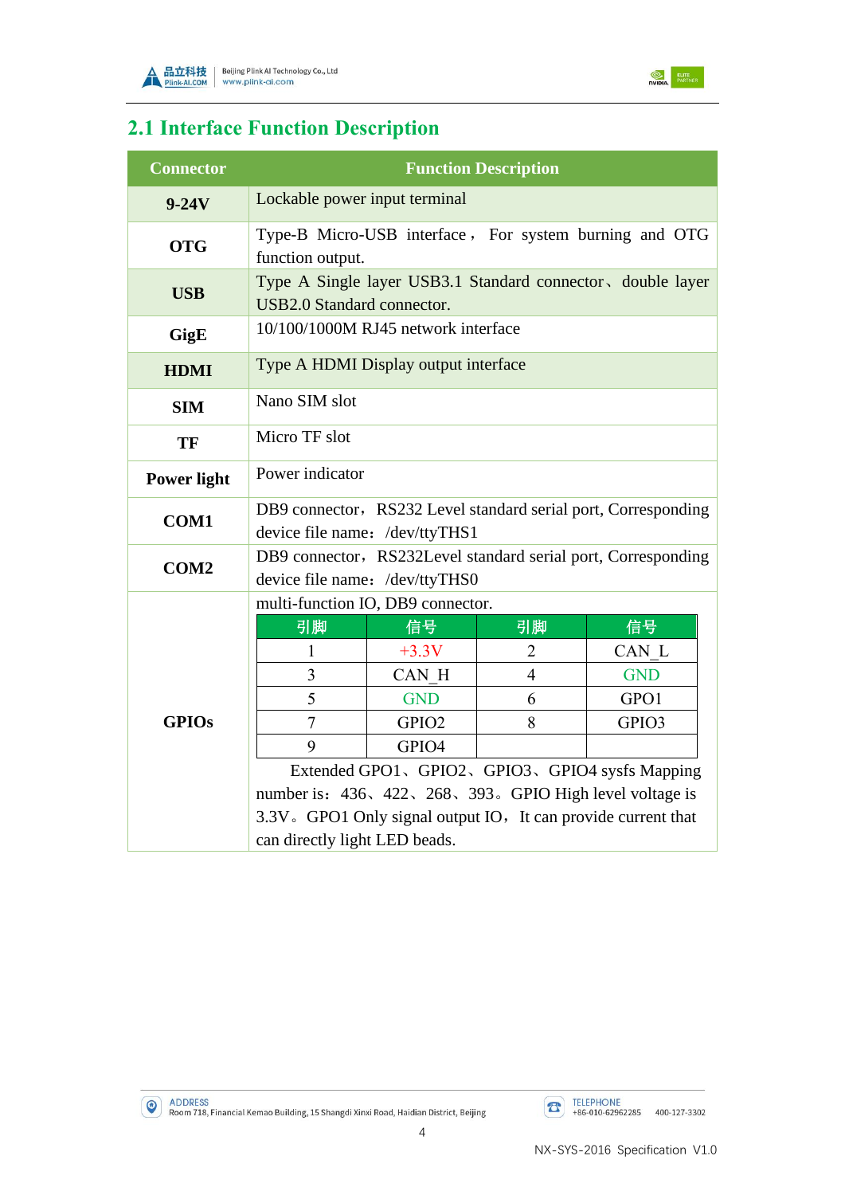



## <span id="page-7-0"></span>**2.1 Interface Function Description**

| <b>Connector</b>   | <b>Function Description</b>                                                                      |                   |                |            |  |  |
|--------------------|--------------------------------------------------------------------------------------------------|-------------------|----------------|------------|--|--|
| $9-24V$            | Lockable power input terminal                                                                    |                   |                |            |  |  |
| <b>OTG</b>         | Type-B Micro-USB interface, For system burning and OTG<br>function output.                       |                   |                |            |  |  |
| <b>USB</b>         | Type A Single layer USB3.1 Standard connector, double layer<br>USB2.0 Standard connector.        |                   |                |            |  |  |
| GigE               | 10/100/1000M RJ45 network interface                                                              |                   |                |            |  |  |
| <b>HDMI</b>        | Type A HDMI Display output interface                                                             |                   |                |            |  |  |
| <b>SIM</b>         | Nano SIM slot                                                                                    |                   |                |            |  |  |
| <b>TF</b>          | Micro TF slot                                                                                    |                   |                |            |  |  |
| <b>Power light</b> | Power indicator                                                                                  |                   |                |            |  |  |
| <b>COM1</b>        | DB9 connector, RS232 Level standard serial port, Corresponding<br>device file name: /dev/ttyTHS1 |                   |                |            |  |  |
| COM <sub>2</sub>   | DB9 connector, RS232Level standard serial port, Corresponding<br>device file name: /dev/ttyTHS0  |                   |                |            |  |  |
|                    | multi-function IO, DB9 connector.                                                                |                   |                |            |  |  |
|                    | 引脚                                                                                               | 信号                | 引脚             | 信号         |  |  |
|                    | $\mathbf{1}$                                                                                     | $+3.3V$           | $\overline{2}$ | CAN L      |  |  |
|                    | $\overline{3}$                                                                                   | CAN H             | $\overline{4}$ | <b>GND</b> |  |  |
|                    | 5                                                                                                | <b>GND</b>        | 6              | GPO1       |  |  |
| <b>GPIOs</b>       | $\overline{7}$                                                                                   | GPIO <sub>2</sub> | 8              | GPIO3      |  |  |
|                    | 9                                                                                                | GPIO4             |                |            |  |  |
|                    | Extended GPO1、GPIO2、GPIO3、GPIO4 sysfs Mapping                                                    |                   |                |            |  |  |
|                    | number is: 436, 422, 268, 393. GPIO High level voltage is                                        |                   |                |            |  |  |
|                    | 3.3V. GPO1 Only signal output IO, It can provide current that                                    |                   |                |            |  |  |
|                    | can directly light LED beads.                                                                    |                   |                |            |  |  |

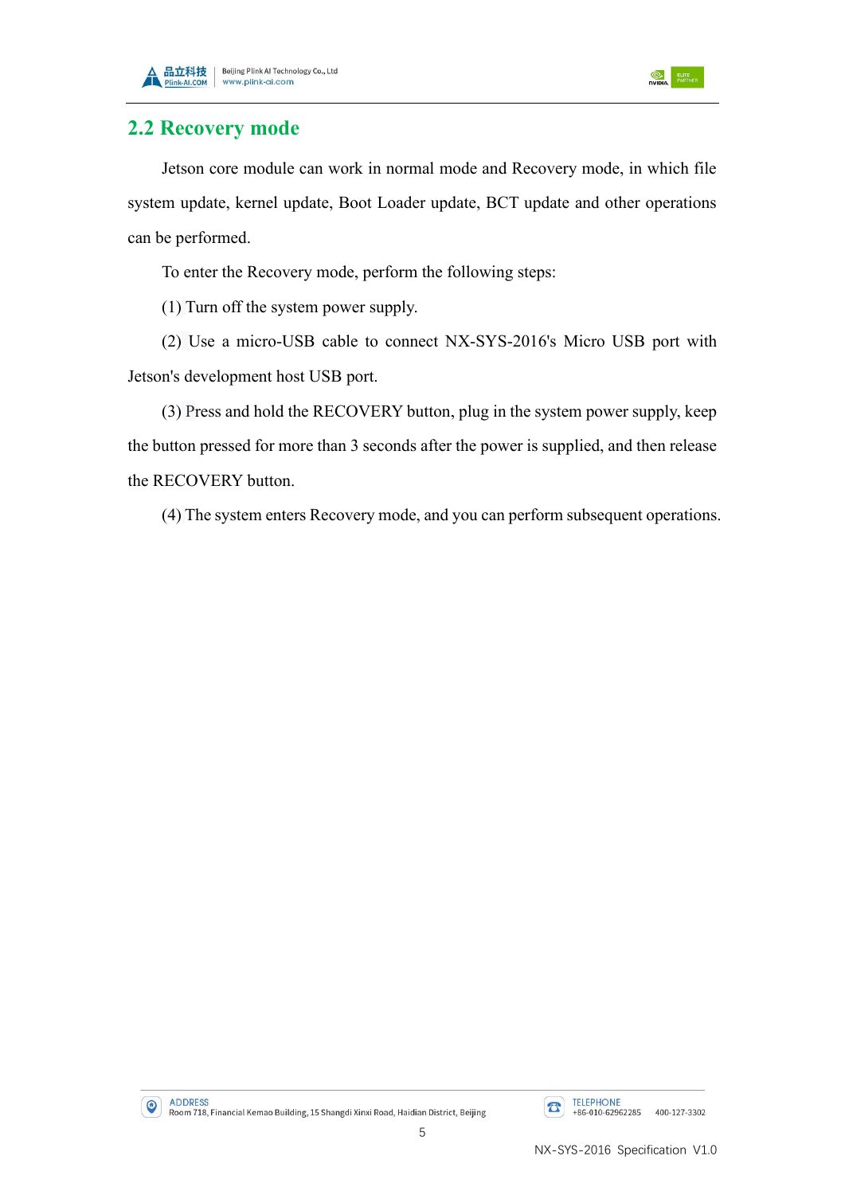



#### <span id="page-8-0"></span>**2.2 Recovery mode**

Jetson core module can work in normal mode and Recovery mode, in which file system update, kernel update, Boot Loader update, BCT update and other operations can be performed.

To enter the Recovery mode, perform the following steps:

(1) Turn off the system power supply.

(2) Use a micro-USB cable to connect NX-SYS-2016's Micro USB port with Jetson's development host USB port.

(3) Press and hold the RECOVERY button, plug in the system power supply, keep the button pressed for more than 3 seconds after the power is supplied, and then release the RECOVERY button.

(4) The system enters Recovery mode, and you can perform subsequent operations.